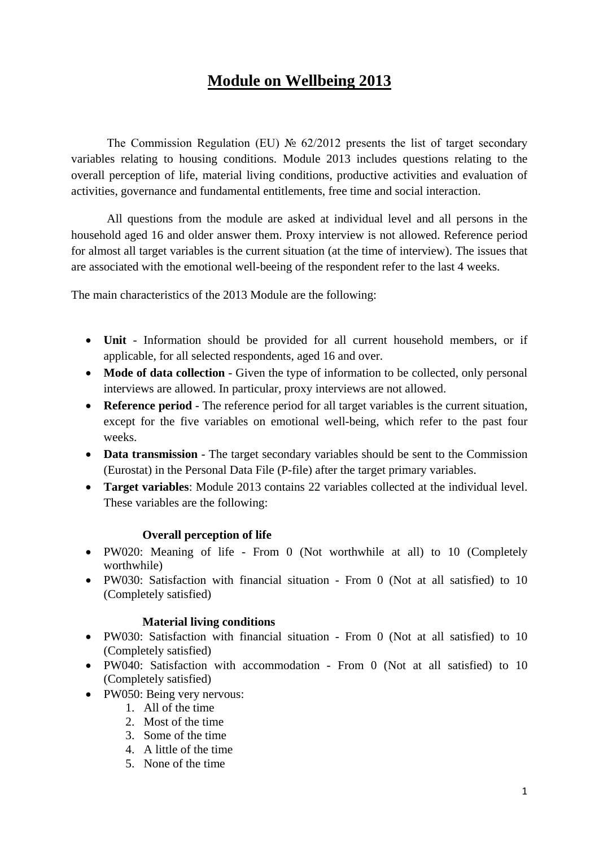# **Module on Wellbeing 2013**

The Commission Regulation (EU) № 62/2012 presents the list of target secondary variables relating to housing conditions. Module 2013 includes questions relating to the overall perception of life, material living conditions, productive activities and evaluation of activities, governance and fundamental entitlements, free time and social interaction.

All questions from the module are asked at individual level and all persons in the household aged 16 and older answer them. Proxy interview is not allowed. Reference period for almost all target variables is the current situation (at the time of interview). The issues that are associated with the emotional well-beeing of the respondent refer to the last 4 weeks.

The main characteristics of the 2013 Module are the following:

- **Unit** Information should be provided for all current household members, or if applicable, for all selected respondents, aged 16 and over.
- **Mode of data collection** Given the type of information to be collected, only personal interviews are allowed. In particular, proxy interviews are not allowed.
- **Reference period** The reference period for all target variables is the current situation, except for the five variables on emotional well-being, which refer to the past four weeks.
- **Data transmission** The target secondary variables should be sent to the Commission (Eurostat) in the Personal Data File (P-file) after the target primary variables.
- **Target variables**: Module 2013 contains 22 variables collected at the individual level. These variables are the following:

### **Overall perception of life**

- PW020: Meaning of life From 0 (Not worthwhile at all) to 10 (Completely worthwhile)
- PW030: Satisfaction with financial situation From 0 (Not at all satisfied) to 10 (Completely satisfied)

### **Material living conditions**

- PW030: Satisfaction with financial situation From 0 (Not at all satisfied) to 10 (Completely satisfied)
- PW040: Satisfaction with accommodation From 0 (Not at all satisfied) to 10 (Completely satisfied)
- PW050: Being very nervous:
	- 1. All of the time
	- 2. Most of the time
	- 3. Some of the time
	- 4. A little of the time
	- 5. None of the time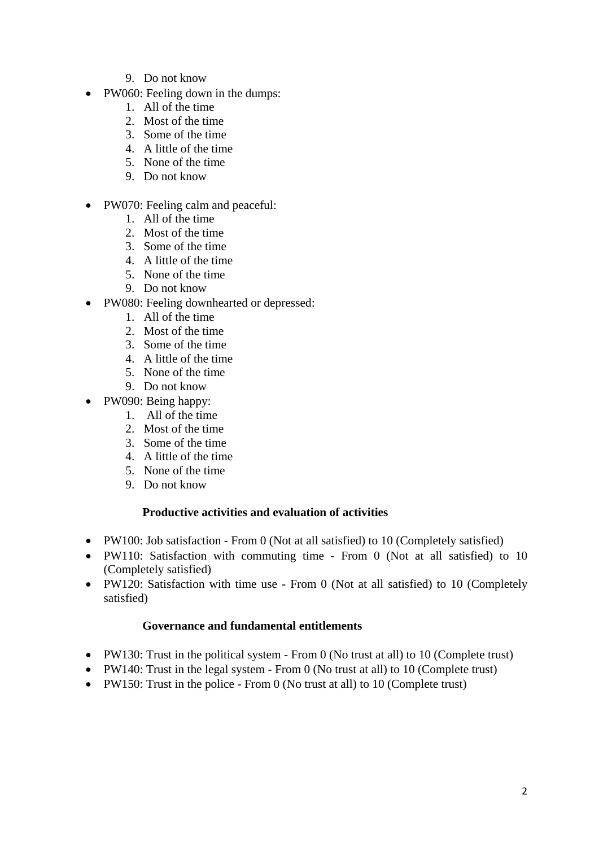- 9. Do not know
- PW060: Feeling down in the dumps:
	- 1. All of the time
	- 2. Most of the time
	- 3. Some of the time
	- 4. A little of the time
	- 5. None of the time
	- 9. Do not know
- PW070: Feeling calm and peaceful:
	- 1. All of the time
	- 2. Most of the time
	- 3. Some of the time
	- 4. A little of the time
	- 5. None of the time
	- 9. Do not know
- PW080: Feeling downhearted or depressed:
	- 1. All of the time
	- 2. Most of the time
	- 3. Some of the time
	- 4. A little of the time
	- 5. None of the time
	- 9. Do not know
- PW090: Being happy:
	- 1. All of the time
	- 2. Most of the time
	- 3. Some of the time
	- 4. A little of the time
	- 5. None of the time
	- 9. Do not know

### **Productive activities and evaluation of activities**

- PW100: Job satisfaction From 0 (Not at all satisfied) to 10 (Completely satisfied)
- PW110: Satisfaction with commuting time From 0 (Not at all satisfied) to 10 (Completely satisfied)
- PW120: Satisfaction with time use From 0 (Not at all satisfied) to 10 (Completely satisfied)

## **Governance and fundamental entitlements**

- PW130: Trust in the political system From 0 (No trust at all) to 10 (Complete trust)
- PW140: Trust in the legal system From 0 (No trust at all) to 10 (Complete trust)
- PW150: Trust in the police From 0 (No trust at all) to 10 (Complete trust)